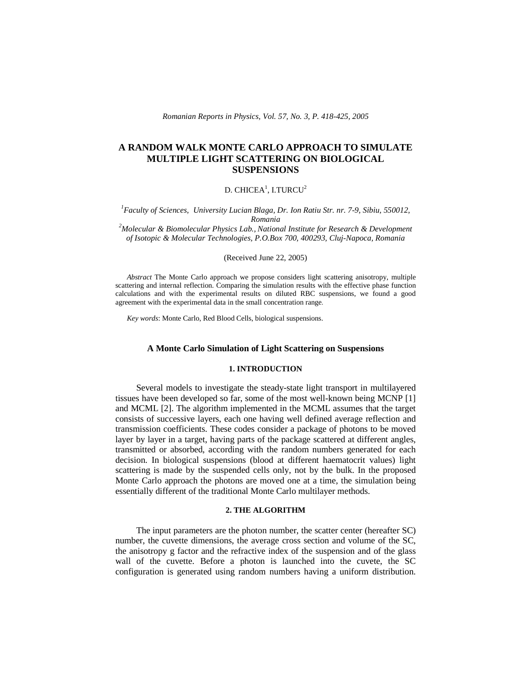*Romanian Reports in Physics, Vol. 57, No. 3, P. 418-425, 2005*

# **A RANDOM WALK MONTE CARLO APPROACH TO SIMULATE MULTIPLE LIGHT SCATTERING ON BIOLOGICAL SUSPENSIONS**

# D. CHICEA $^1$ , I.TURCU $^2$

*1 Faculty of Sciences, University Lucian Blaga, Dr. Ion Ratiu Str. nr. 7-9, Sibiu, 550012, Romania*

*<sup>2</sup>Molecular & Biomolecular Physics Lab., National Institute for Research & Development of Isotopic & Molecular Technologies, P.O.Box 700, 400293, Cluj-Napoca, Romania*

#### (Received June 22, 2005)

*Abstract* The Monte Carlo approach we propose considers light scattering anisotropy, multiple scattering and internal reflection. Comparing the simulation results with the effective phase function calculations and with the experimental results on diluted RBC suspensions, we found a good agreement with the experimental data in the small concentration range.

*Key words*: Monte Carlo, Red Blood Cells, biological suspensions.

# **A Monte Carlo Simulation of Light Scattering on Suspensions**

### **1. INTRODUCTION**

Several models to investigate the steady-state light transport in multilayered tissues have been developed so far, some of the most well-known being MCNP [1] and MCML [2]. The algorithm implemented in the MCML assumes that the target consists of successive layers, each one having well defined average reflection and transmission coefficients. These codes consider a package of photons to be moved layer by layer in a target, having parts of the package scattered at different angles, transmitted or absorbed, according with the random numbers generated for each decision. In biological suspensions (blood at different haematocrit values) light scattering is made by the suspended cells only, not by the bulk. In the proposed Monte Carlo approach the photons are moved one at a time, the simulation being essentially different of the traditional Monte Carlo multilayer methods.

# **2. THE ALGORITHM**

The input parameters are the photon number, the scatter center (hereafter SC) number, the cuvette dimensions, the average cross section and volume of the SC, the anisotropy g factor and the refractive index of the suspension and of the glass wall of the cuvette. Before a photon is launched into the cuvete, the SC configuration is generated using random numbers having a uniform distribution.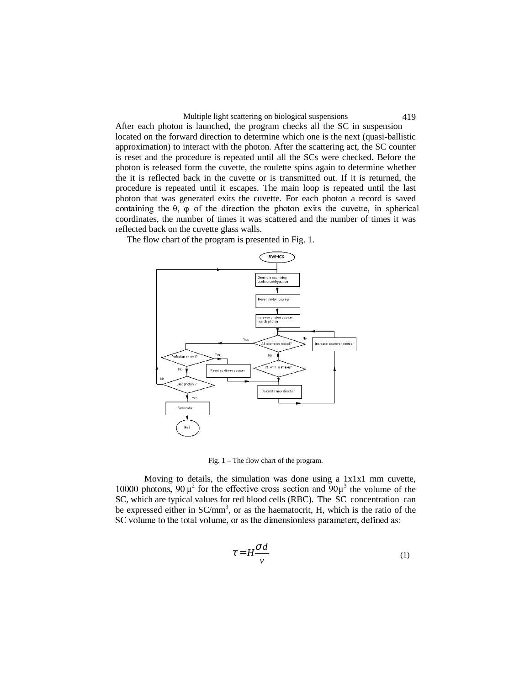#### Multiple light scattering on biological suspensions 419

After each photon is launched, the program checks all the SC in suspension located on the forward direction to determine which one is the next (quasi-ballistic approximation) to interact with the photon. After the scattering act, the SC counter is reset and the procedure is repeated until all the SCs were checked. Before the photon is released form the cuvette, the roulette spins again to determine whether the it is reflected back in the cuvette or is transmitted out. If it is returned, the procedure is repeated until it escapes. The main loop is repeated until the last photon that was generated exits the cuvette. For each photon a record is saved containing the  $\theta$ ,  $\omega$  of the direction the photon exits the cuvette, in spherical coordinates, the number of times it was scattered and the number of times it was reflected back on the cuvette glass walls.

The flow chart of the program is presented in Fig. 1.



Fig. 1 – The flow chart of the program.

Moving to details, the simulation was done using a 1x1x1 mm cuvette, 10000 photons, 90  $\mu^2$  for the effective cross section and  $90\mu^3$  the volume of the SC, which are typical values for red blood cells (RBC). The SC concentration can be expressed either in SC/mm<sup>3</sup>, or as the haematocrit, H, which is the ratio of the rightly result and the second property of the second property of the second property of the second property of the second property of the second property of the second property of the second property of the second property

$$
\tau = H \frac{\sigma d}{v} \tag{1}
$$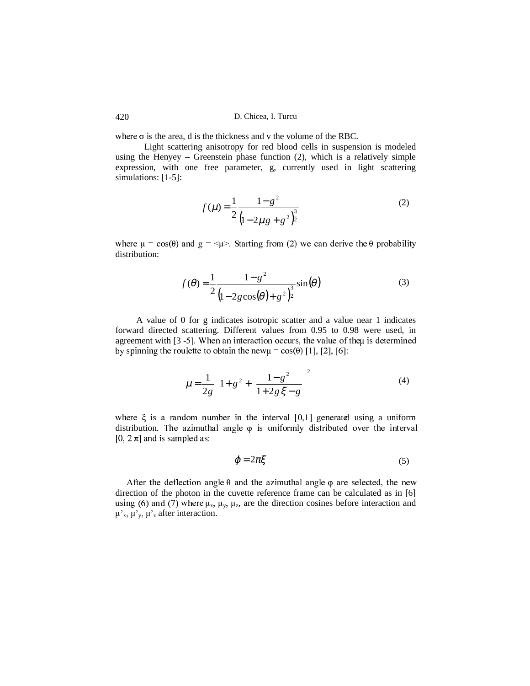D. Chicea, I. Turcu

where  $\sigma$  is the area, d is the thickness and v the volume of the RBC.

Light scattering anisotropy for red blood cells in suspension is modeled using the Henyey – Greenstein phase function  $(2)$ , which is a relatively simple expression, with one free parameter, g, currently used in light scattering simulations:  $[1-5]$ :

$$
f(\mu) = \frac{1}{2} \frac{1 - g^2}{\left(1 - 2\mu g + g^2\right)^{\frac{3}{2}}} \tag{2}
$$

where  $\mu = \cos(\theta)$  and  $g = \cos(\theta)$ . Starting from (2) we can derive the  $\theta$  probability distribution:

$$
f(\theta) = \frac{1}{2} \frac{1 - g^2}{\left(1 - 2g\cos(\theta) + g^2\right)^{\frac{3}{2}}} \sin(\theta)
$$
 (3)

A value of 0 for g indicates isotropic scatter and a value near 1 indicates forward directed scattering. Different values from 0.95 to 0.98 were used, in agreement with [3 -5]. When an interaction occurs, the value of theu is determined by spinning the roulette to obtain the new $\mu = cos(\theta)$  [1], [2], [6]:

$$
\mu = \frac{1}{2g} \left[ 1 + g^2 + \left( \frac{1 - g^2}{1 + 2g \xi - g} \right)^2 \right]
$$
 (4)

where  $\xi$  is a random number in the interval  $[0,1]$  generated using a uniform distribution. The azimuthal angle  $\varphi$  is uniformly distributed over the interval [0,  $2 \pi$ ] and is sampled as:

$$
\varphi = 2\pi \xi \tag{5}
$$

After the deflection angle  $\theta$  and the azimuthal angle  $\varphi$  are selected, the new direction of the photon in the cuvette reference frame can be calculated as in [6] using (6) and (7) where  $\mu_x$ ,  $\mu_y$ ,  $\mu_z$ , are the direction cosines before interaction and  $\mu'_{x}$ ,  $\mu'_{y}$ ,  $\mu'_{z}$  after interaction.

420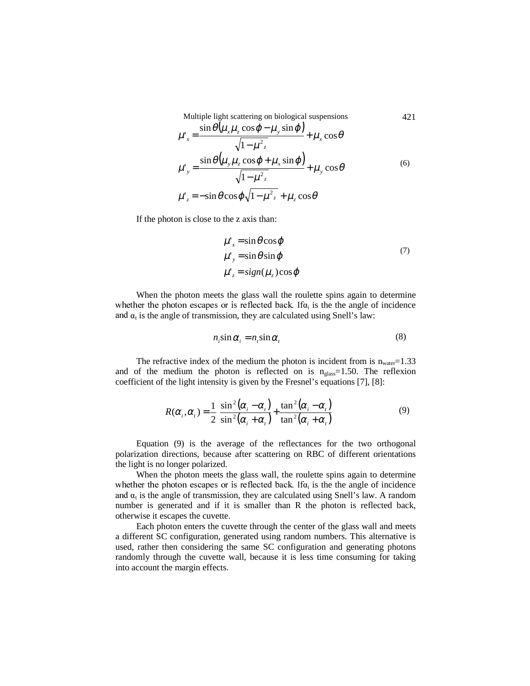Multiple light scattering on biological suspensions 421

$$
\mu'_{x} = \frac{\sin \theta \left(\mu_{x} \mu_{z} \cos \varphi - \mu_{y} \sin \varphi\right)}{\sqrt{1 - \mu^{2} z}} + \mu_{x} \cos \theta
$$
\n
$$
\mu'_{y} = \frac{\sin \theta \left(\mu_{y} \mu_{z} \cos \varphi + \mu_{x} \sin \varphi\right)}{\sqrt{1 - \mu^{2} z}} + \mu_{y} \cos \theta
$$
\n
$$
\mu'_{z} = -\sin \theta \cos \varphi \sqrt{1 - \mu^{2} z} + \mu_{z} \cos \theta
$$
\n(6)

If the photon is close to the z axis than:

$$
\mu'_{x} = \sin \theta \cos \varphi \n\mu'_{y} = \sin \theta \sin \varphi \n\mu'_{z} = sign(\mu_{z}) \cos \varphi
$$
\n(7)

When the photon meets the glass wall the roulette spins again to determine whether the photon escapes or is reflected back. If  $\alpha_i$  is the the angle of incidence and  $\alpha_t$  is the angle of transmission, they are calculated using Snell's law:

$$
n_i \sin \alpha_i = n_i \sin \alpha_i \tag{8}
$$

The refractive index of the medium the photon is incident from is  $n_{water} = 1.33$ and of the medium the photon is reflected on is  $n_{glass}=1.50$ . The reflexion coefficient of the light intensity is given by the Fresnel's equations [7], [8]:

$$
R(\alpha_i, \alpha_i) = \frac{1}{2} \left[ \frac{\sin^2(\alpha_i - \alpha_i)}{\sin^2(\alpha_i + \alpha_i)} + \frac{\tan^2(\alpha_i - \alpha_i)}{\tan^2(\alpha_i + \alpha_i)} \right]
$$
(9)

Equation (9) is the average of the reflectances for the two orthogonal polarization directions, because after scattering on RBC of different orientations the light is no longer polarized.

When the photon meets the glass wall, the roulette spins again to determine whether the photon escapes or is reflected back. If  $\alpha_i$  is the the angle of incidence and  $\alpha_t$  is the angle of transmission, they are calculated using Snell's law. A random number is generated and if it is smaller than R the photon is reflected back, otherwise it escapes the cuvette.

Each photon enters the cuvette through the center of the glass wall and meets a different SC configuration, generated using random numbers. This alternative is used, rather then considering the same SC configuration and generating photons randomly through the cuvette wall, because it is less time consuming for taking into account the margin effects.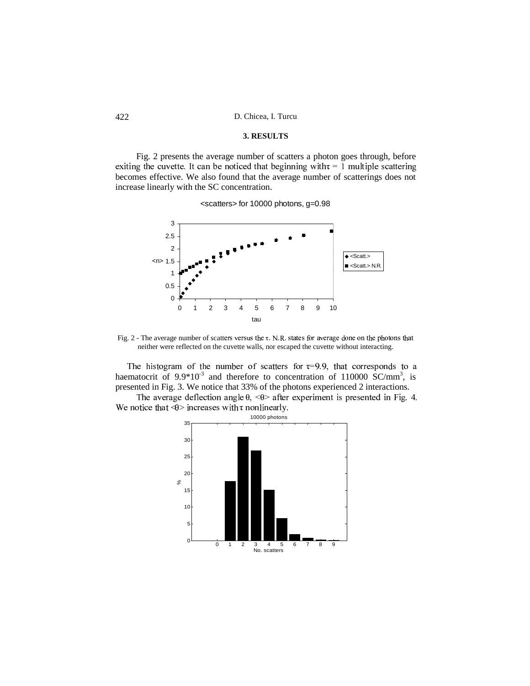D. Chicea, I. Turcu

### 3. RESULTS

Fig. 2 presents the average number of scatters a photon goes through, before exiting the cuvette. It can be noticed that beginning with  $\tau = 1$  multiple scattering becomes effective. We also found that the average number of scatterings does not increase linearly with the SC concentration.

<scatters> for 10000 photons, g=0.98



Fig. 2 - The average number of scatters versus the  $\tau$ . N.R. states for average done on the photons that neither were reflected on the cuvette walls, nor escaped the cuvette without interacting.

The histogram of the number of scatters for  $\tau=9.9$ , that corresponds to a haematocrit of  $9.9*10^{-3}$  and therefore to concentration of 110000 SC/mm<sup>3</sup>, is presented in Fig. 3. We notice that 33% of the photons experienced 2 interactions.

The average deflection angle  $\theta$ , < $\theta$ > after experiment is presented in Fig. 4. We notice that  $\overline{\Theta}$  increases with  $\tau$  nonlinearly.



422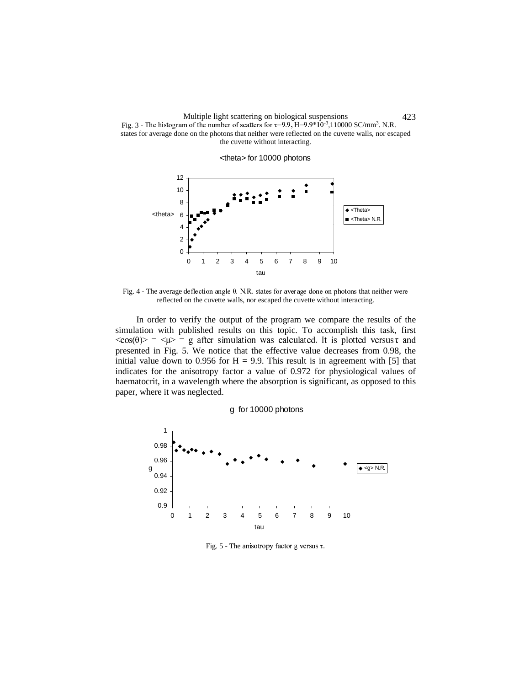

<theta> for 10000 photons



Fig. 4 - The average deflection angle  $\theta$ . N.R. states for average done on photons that neither were reflected on the cuvette walls, nor escaped the cuvette without interacting.

In order to verify the output of the program we compare the results of the simulation with published results on this topic. To accomplish this task, first ZS[\(])^`\_+a#bdceZVfgbhcjilkmnopq])rsutwvxkn`r`\gylz{k-][-k3v [3t(v`kn#o|}~nr]wvx\+n no|o3p\$]t]gky| presented in Fig. 5. We notice that the effective value decreases from 0.98, the initial value down to 0.956 for  $H = 9.9$ . This result is in agreement with [5] that indicates for the anisotropy factor a value of 0.972 for physiological values of haematocrit, in a wavelength where the absorption is significant, as opposed to this paper, where it was neglected.

g for 10000 photons



Fig. 5 - The anisotropy factor g versus  $\tau$ .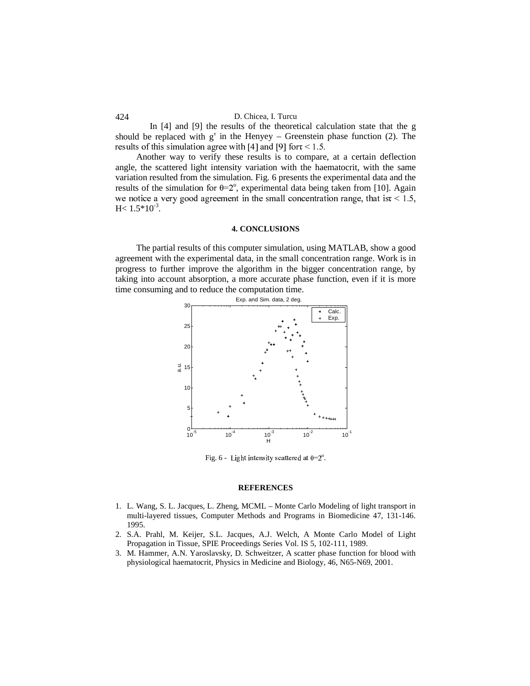### 424 D. Chicea, I. Turcu

In [4] and [9] the results of the theoretical calculation state that the g should be replaced with  $g^{\tau}$  in the Henyey – Greenstein phase function (2). The results of this simulation agree with [4] and [9] fort  $\leq 1.5$ .

Another way to verify these results is to compare, at a certain deflection angle, the scattered light intensity variation with the haematocrit, with the same variation resulted from the simulation. Fig. 6 presents the experimental data and the results of the simulation for  $\theta = 2^{\circ}$ , experimental data being taken from [10]. Again tio saction o tiosat con cossociate is the case of cossociations somewhat the fact is a finite in the fact of  $H< 1.5*10^{-3}$ .

# **4. CONCLUSIONS**

The partial results of this computer simulation, using MATLAB, show a good agreement with the experimental data, in the small concentration range. Work is in progress to further improve the algorithm in the bigger concentration range, by taking into account absorption, a more accurate phase function, even if it is more time consuming and to reduce the computation time.



Fig. 6 - Light intensity scattered at  $\theta = 2^\circ$ .

### **REFERENCES**

- 1. L. Wang, S. L. Jacques, L. Zheng, MCML Monte Carlo Modeling of light transport in multi-layered tissues, Computer Methods and Programs in Biomedicine 47, 131-146. 1995.
- 2. S.A. Prahl, M. Keijer, S.L. Jacques, A.J. Welch, A Monte Carlo Model of Light Propagation in Tissue, SPIE Proceedings Series Vol. IS 5, 102-111, 1989.
- 3. M. Hammer, A.N. Yaroslavsky, D. Schweitzer, A scatter phase function for blood with physiological haematocrit, Physics in Medicine and Biology, 46, N65-N69, 2001.